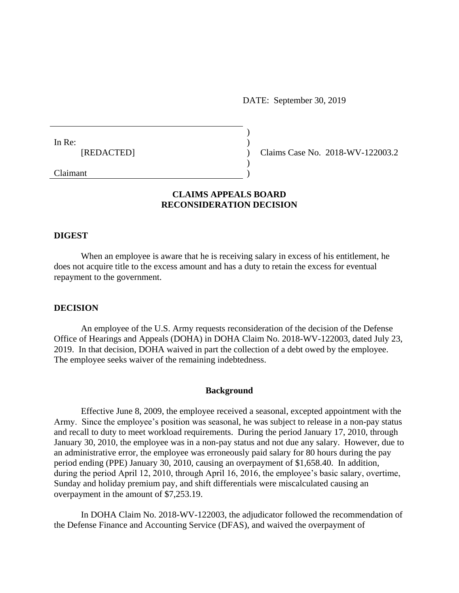DATE: September 30, 2019

| In Re: | [REDACTED] |  |  |  |
|--------|------------|--|--|--|
|--------|------------|--|--|--|

Claims Case No. 2018-WV-122003.2

Claimant

# **CLAIMS APPEALS BOARD RECONSIDERATION DECISION**

) ) ) ) )

### **DIGEST**

When an employee is aware that he is receiving salary in excess of his entitlement, he does not acquire title to the excess amount and has a duty to retain the excess for eventual repayment to the government.

### **DECISION**

An employee of the U.S. Army requests reconsideration of the decision of the Defense Office of Hearings and Appeals (DOHA) in DOHA Claim No. 2018-WV-122003, dated July 23, 2019. In that decision, DOHA waived in part the collection of a debt owed by the employee. The employee seeks waiver of the remaining indebtedness.

### **Background**

Effective June 8, 2009, the employee received a seasonal, excepted appointment with the Army. Since the employee's position was seasonal, he was subject to release in a non-pay status and recall to duty to meet workload requirements. During the period January 17, 2010, through January 30, 2010, the employee was in a non-pay status and not due any salary. However, due to an administrative error, the employee was erroneously paid salary for 80 hours during the pay period ending (PPE) January 30, 2010, causing an overpayment of \$1,658.40. In addition, during the period April 12, 2010, through April 16, 2016, the employee's basic salary, overtime, Sunday and holiday premium pay, and shift differentials were miscalculated causing an overpayment in the amount of \$7,253.19.

In DOHA Claim No. 2018-WV-122003, the adjudicator followed the recommendation of the Defense Finance and Accounting Service (DFAS), and waived the overpayment of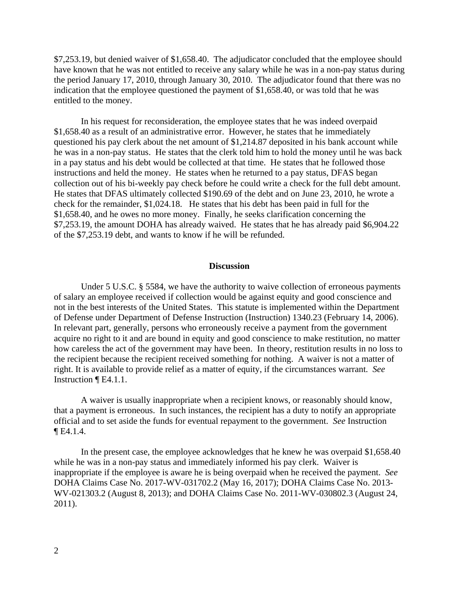\$7,253.19, but denied waiver of \$1,658.40. The adjudicator concluded that the employee should have known that he was not entitled to receive any salary while he was in a non-pay status during the period January 17, 2010, through January 30, 2010. The adjudicator found that there was no indication that the employee questioned the payment of \$1,658.40, or was told that he was entitled to the money.

In his request for reconsideration, the employee states that he was indeed overpaid \$1,658.40 as a result of an administrative error. However, he states that he immediately questioned his pay clerk about the net amount of \$1,214.87 deposited in his bank account while he was in a non-pay status. He states that the clerk told him to hold the money until he was back in a pay status and his debt would be collected at that time. He states that he followed those instructions and held the money. He states when he returned to a pay status, DFAS began collection out of his bi-weekly pay check before he could write a check for the full debt amount. He states that DFAS ultimately collected \$190.69 of the debt and on June 23, 2010, he wrote a check for the remainder, \$1,024.18. He states that his debt has been paid in full for the \$1,658.40, and he owes no more money. Finally, he seeks clarification concerning the \$7,253.19, the amount DOHA has already waived. He states that he has already paid \$6,904.22 of the \$7,253.19 debt, and wants to know if he will be refunded.

#### **Discussion**

Under 5 U.S.C. § 5584, we have the authority to waive collection of erroneous payments of salary an employee received if collection would be against equity and good conscience and not in the best interests of the United States. This statute is implemented within the Department of Defense under Department of Defense Instruction (Instruction) 1340.23 (February 14, 2006). In relevant part, generally, persons who erroneously receive a payment from the government acquire no right to it and are bound in equity and good conscience to make restitution, no matter how careless the act of the government may have been. In theory, restitution results in no loss to the recipient because the recipient received something for nothing. A waiver is not a matter of right. It is available to provide relief as a matter of equity, if the circumstances warrant. *See*  Instruction ¶ E4.1.1.

A waiver is usually inappropriate when a recipient knows, or reasonably should know, that a payment is erroneous. In such instances, the recipient has a duty to notify an appropriate official and to set aside the funds for eventual repayment to the government. *See* Instruction ¶ E4.1.4.

In the present case, the employee acknowledges that he knew he was overpaid \$1,658.40 while he was in a non-pay status and immediately informed his pay clerk. Waiver is inappropriate if the employee is aware he is being overpaid when he received the payment. *See* DOHA Claims Case No. 2017-WV-031702.2 (May 16, 2017); DOHA Claims Case No. 2013- WV-021303.2 (August 8, 2013); and DOHA Claims Case No. 2011-WV-030802.3 (August 24, 2011).